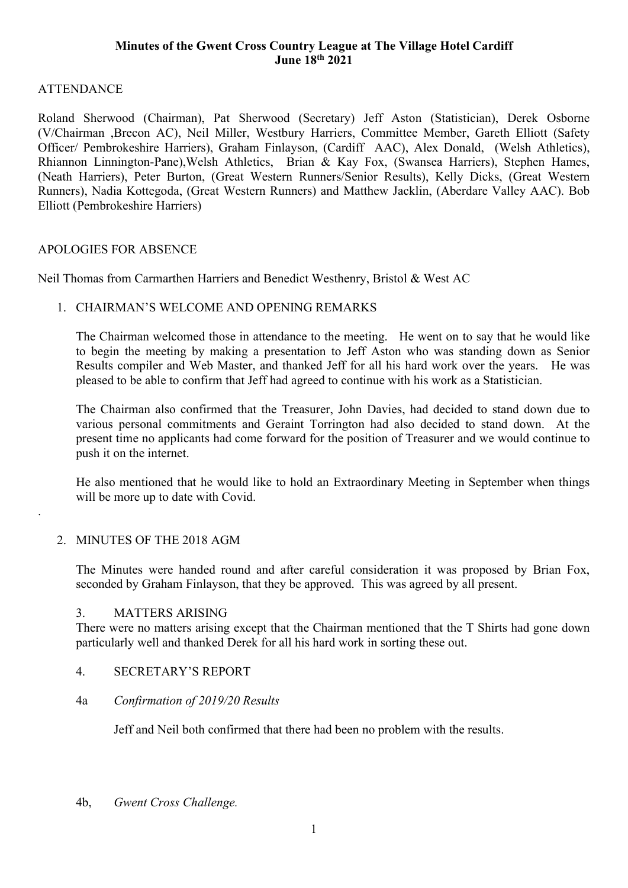## Minutes of the Gwent Cross Country League at The Village Hotel Cardiff June 18th 2021

# **ATTENDANCE**

Roland Sherwood (Chairman), Pat Sherwood (Secretary) Jeff Aston (Statistician), Derek Osborne (V/Chairman ,Brecon AC), Neil Miller, Westbury Harriers, Committee Member, Gareth Elliott (Safety Officer/ Pembrokeshire Harriers), Graham Finlayson, (Cardiff AAC), Alex Donald, (Welsh Athletics), Rhiannon Linnington-Pane),Welsh Athletics, Brian & Kay Fox, (Swansea Harriers), Stephen Hames, (Neath Harriers), Peter Burton, (Great Western Runners/Senior Results), Kelly Dicks, (Great Western Runners), Nadia Kottegoda, (Great Western Runners) and Matthew Jacklin, (Aberdare Valley AAC). Bob Elliott (Pembrokeshire Harriers)

## APOLOGIES FOR ABSENCE

Neil Thomas from Carmarthen Harriers and Benedict Westhenry, Bristol & West AC

## 1. CHAIRMAN'S WELCOME AND OPENING REMARKS

The Chairman welcomed those in attendance to the meeting. He went on to say that he would like to begin the meeting by making a presentation to Jeff Aston who was standing down as Senior Results compiler and Web Master, and thanked Jeff for all his hard work over the years. He was pleased to be able to confirm that Jeff had agreed to continue with his work as a Statistician.

The Chairman also confirmed that the Treasurer, John Davies, had decided to stand down due to various personal commitments and Geraint Torrington had also decided to stand down. At the present time no applicants had come forward for the position of Treasurer and we would continue to push it on the internet.

He also mentioned that he would like to hold an Extraordinary Meeting in September when things will be more up to date with Covid.

## 2. MINUTES OF THE 2018 AGM

.

The Minutes were handed round and after careful consideration it was proposed by Brian Fox, seconded by Graham Finlayson, that they be approved. This was agreed by all present.

### 3. MATTERS ARISING

There were no matters arising except that the Chairman mentioned that the T Shirts had gone down particularly well and thanked Derek for all his hard work in sorting these out.

### 4. SECRETARY'S REPORT

### 4a Confirmation of 2019/20 Results

Jeff and Neil both confirmed that there had been no problem with the results.

4b, Gwent Cross Challenge.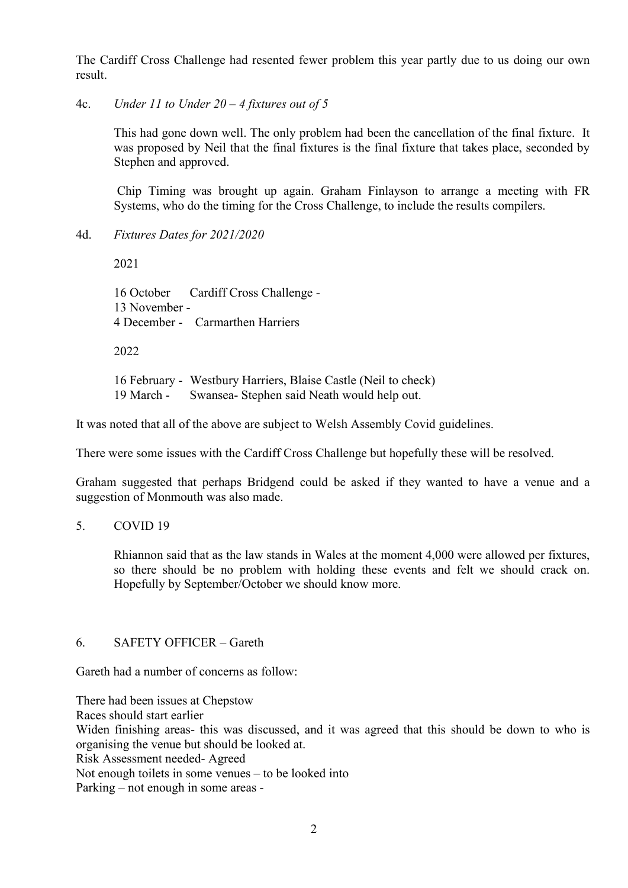The Cardiff Cross Challenge had resented fewer problem this year partly due to us doing our own result.

4c. Under 11 to Under  $20 - 4$  fixtures out of 5

This had gone down well. The only problem had been the cancellation of the final fixture. It was proposed by Neil that the final fixtures is the final fixture that takes place, seconded by Stephen and approved.

 Chip Timing was brought up again. Graham Finlayson to arrange a meeting with FR Systems, who do the timing for the Cross Challenge, to include the results compilers.

4d. Fixtures Dates for 2021/2020

2021

 16 October Cardiff Cross Challenge - 13 November - 4 December - Carmarthen Harriers

2022

16 February - Westbury Harriers, Blaise Castle (Neil to check) 19 March - Swansea- Stephen said Neath would help out.

It was noted that all of the above are subject to Welsh Assembly Covid guidelines.

There were some issues with the Cardiff Cross Challenge but hopefully these will be resolved.

Graham suggested that perhaps Bridgend could be asked if they wanted to have a venue and a suggestion of Monmouth was also made.

### 5. COVID 19

Rhiannon said that as the law stands in Wales at the moment 4,000 were allowed per fixtures, so there should be no problem with holding these events and felt we should crack on. Hopefully by September/October we should know more.

## 6. SAFETY OFFICER – Gareth

Gareth had a number of concerns as follow:

There had been issues at Chepstow Races should start earlier Widen finishing areas- this was discussed, and it was agreed that this should be down to who is organising the venue but should be looked at. Risk Assessment needed- Agreed Not enough toilets in some venues – to be looked into Parking – not enough in some areas -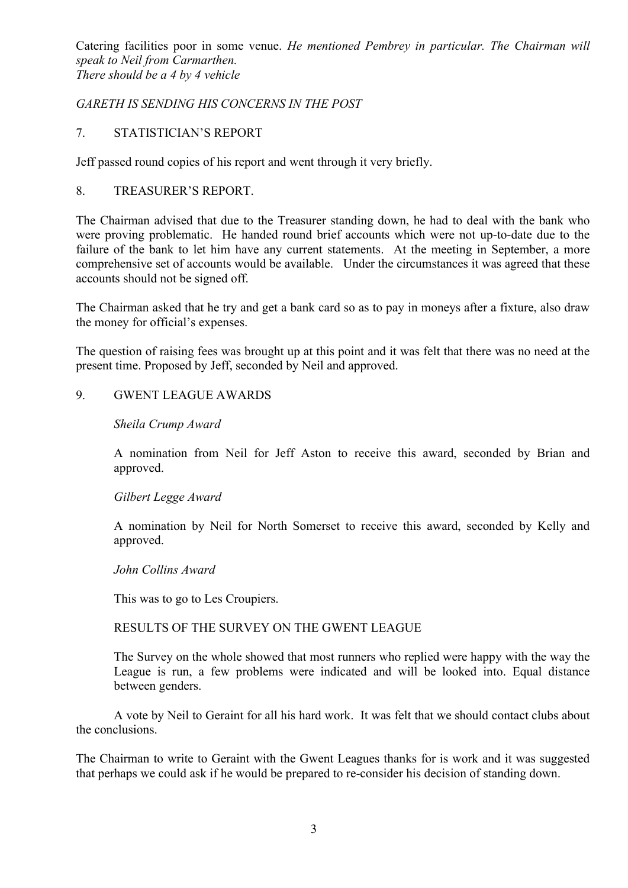Catering facilities poor in some venue. He mentioned Pembrey in particular. The Chairman will speak to Neil from Carmarthen. There should be a 4 by 4 vehicle

## GARETH IS SENDING HIS CONCERNS IN THE POST

### 7. STATISTICIAN'S REPORT

Jeff passed round copies of his report and went through it very briefly.

## 8. TREASURER'S REPORT.

The Chairman advised that due to the Treasurer standing down, he had to deal with the bank who were proving problematic. He handed round brief accounts which were not up-to-date due to the failure of the bank to let him have any current statements. At the meeting in September, a more comprehensive set of accounts would be available. Under the circumstances it was agreed that these accounts should not be signed off.

The Chairman asked that he try and get a bank card so as to pay in moneys after a fixture, also draw the money for official's expenses.

The question of raising fees was brought up at this point and it was felt that there was no need at the present time. Proposed by Jeff, seconded by Neil and approved.

## 9. GWENT LEAGUE AWARDS

## Sheila Crump Award

A nomination from Neil for Jeff Aston to receive this award, seconded by Brian and approved.

### Gilbert Legge Award

A nomination by Neil for North Somerset to receive this award, seconded by Kelly and approved.

### John Collins Award

This was to go to Les Croupiers.

### RESULTS OF THE SURVEY ON THE GWENT LEAGUE

The Survey on the whole showed that most runners who replied were happy with the way the League is run, a few problems were indicated and will be looked into. Equal distance between genders.

A vote by Neil to Geraint for all his hard work. It was felt that we should contact clubs about the conclusions.

The Chairman to write to Geraint with the Gwent Leagues thanks for is work and it was suggested that perhaps we could ask if he would be prepared to re-consider his decision of standing down.